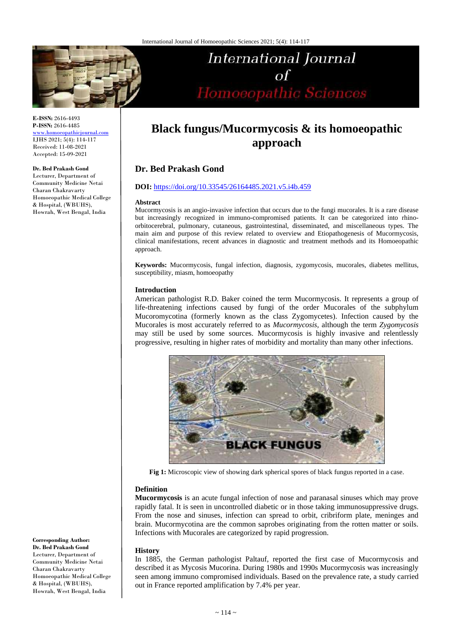

#### **E-ISSN:** 2616-4493 **P-ISSN:** 2616-4485

[www.homoeopathicjournal.com](file://Server/test/homoeopathicjournal/issue/vol%204/issue%201/www.homoeopathicjournal.com) IJHS 2021; 5(4): 114-117 Received: 11-08-2021 Accepted: 15-09-2021

#### **Dr. Bed Prakash Gond**

Lecturer, Department of Community Medicine Netai Charan Chakravarty Homoeopathic Medical College & Hospital, (WBUHS), Howrah, West Bengal, India

# International Journal  $\sigma$ f of<br>Homoeopathic Sciences

## **Black fungus/Mucormycosis & its homoeopathic approach**

## **Dr. Bed Prakash Gond**

#### **DOI:** <https://doi.org/10.33545/26164485.2021.v5.i4b.459>

#### **Abstract**

Mucormycosis is an angio-invasive infection that occurs due to the fungi mucorales. It is a rare disease but increasingly recognized in immuno-compromised patients. It can be categorized into rhinoorbitocerebral, pulmonary, cutaneous, gastrointestinal, disseminated, and miscellaneous types. The main aim and purpose of this review related to overview and Etiopathogenesis of Mucormycosis, clinical manifestations, recent advances in diagnostic and treatment methods and its Homoeopathic approach.

**Keywords:** Mucormycosis, fungal infection, diagnosis, zygomycosis, mucorales, diabetes mellitus, susceptibility, miasm, homoeopathy

#### **Introduction**

American pathologist R.D. Baker coined the term Mucormycosis. It represents a group of life-threatening infections caused by fungi of the order Mucorales of the subphylum Mucoromycotina (formerly known as the class Zygomycetes). Infection caused by the Mucorales is most accurately referred to as *Mucormycosis,* although the term *Zygomycosis*  may still be used by some sources. Mucormycosis is highly invasive and relentlessly progressive, resulting in higher rates of morbidity and mortality than many other infections.



**Fig 1:** Microscopic view of showing dark spherical spores of black fungus reported in a case.

#### **Definition**

**Mucormycosis** is an acute fungal infection of nose and paranasal sinuses which may prove rapidly fatal. It is seen in uncontrolled diabetic or in those taking immunosuppressive drugs. From the nose and sinuses, infection can spread to orbit, cribriform plate, meninges and brain. Mucormycotina are the common saprobes originating from the rotten matter or soils. Infections with Mucorales are categorized by rapid progression.

#### **History**

In 1885, the German pathologist Paltauf, reported the first case of Mucormycosis and described it as Mycosis Mucorina. During 1980s and 1990s Mucormycosis was increasingly seen among immuno compromised individuals. Based on the prevalence rate, a study carried out in France reported amplification by 7.4% per year.

#### **Corresponding Author: Dr. Bed Prakash Gond** Lecturer, Department of Community Medicine Netai Charan Chakravarty Homoeopathic Medical College & Hospital, (WBUHS), Howrah, West Bengal, India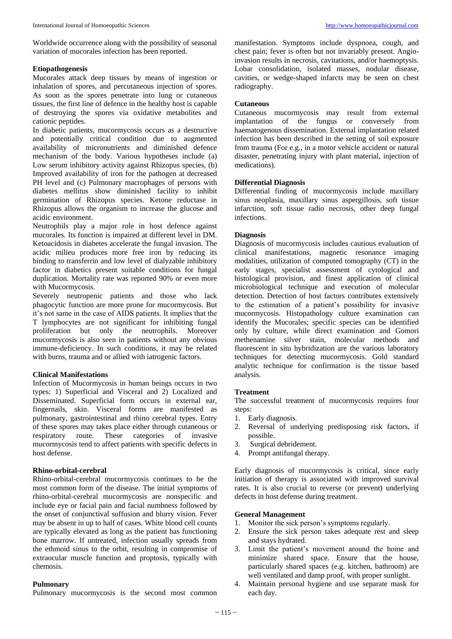Worldwide occurrence along with the possibility of seasonal variation of mucorales infection has been reported.

#### **Etiopathogenesis**

Mucorales attack deep tissues by means of ingestion or inhalation of spores, and percutaneous injection of spores. As soon as the spores penetrate into lung or cutaneous tissues, the first line of defence in the healthy host is capable of destroying the spores via oxidative metabolites and cationic peptides.

In diabetic patients, mucormycosis occurs as a destructive and potentially critical condition due to augmented availability of micronutrients and diminished defence mechanism of the body. Various hypotheses include (a) Low serum inhibitory activity against Rhizopus species, (b) Improved availability of iron for the pathogen at decreased PH level and (c) Pulmonary macrophages of persons with diabetes mellitus show diminished facility to inhibit germination of Rhizopus species. Ketone reductase in Rhizopus allows the organism to increase the glucose and acidic environment.

Neutrophils play a major role in host defence against mucorales. Its function is impaired at different level in DM. Ketoacidosis in diabetes accelerate the fungal invasion. The acidic milieu produces more free iron by reducing its binding to transferrin and low level of dialyzable inhibitory factor in diabetics present suitable conditions for fungal duplication. Mortality rate was reported 90% or even more with Mucormycosis.

Severely neutropenic patients and those who lack phagocytic function are more prone for mucormycosis. But it's not same in the case of AIDS patients. It implies that the T lymphocytes are not significant for inhibiting fungal proliferation but only the neutrophils. Moreover mucormycosis is also seen in patients without any obvious immune-deficiency. In such conditions, it may be related with burns, trauma and or allied with iatrogenic factors.

#### **Clinical Manifestations**

Infection of Mucormycosis in human beings occurs in two types: 1) Superficial and Visceral and 2) Localized and Disseminated. Superficial form occurs in external ear, fingernails, skin. Visceral forms are manifested as pulmonary, gastrointestinal and rhino cerebral types. Entry of these spores may takes place either through cutaneous or respiratory route. These categories of invasive respiratory route. These categories of invasive mucormycosis tend to affect patients with specific defects in host defense.

#### **Rhino-orbital-cerebral**

Rhino-orbital-cerebral mucormycosis continues to be the most common form of the disease. The initial symptoms of rhino-orbital-cerebral mucormycosis are nonspecific and include eye or facial pain and facial numbness followed by the onset of conjunctival suffusion and blurry vision. Fever may be absent in up to half of cases. White blood cell counts are typically elevated as long as the patient has functioning bone marrow. If untreated, infection usually spreads from the ethmoid sinus to the orbit, resulting in compromise of extraocular muscle function and proptosis, typically with chemosis.

#### **Pulmonary**

Pulmonary mucormycosis is the second most common

manifestation. Symptoms include dyspnoea, cough, and chest pain; fever is often but not invariably present. Angioinvasion results in necrosis, cavitations, and/or haemoptysis. Lobar consolidation, isolated masses, nodular disease, cavities, or wedge-shaped infarcts may be seen on chest radiography.

#### **Cutaneous**

Cutaneous mucormycosis may result from external implantation of the fungus or conversely from haematogenous dissemination. External implantation related infection has been described in the setting of soil exposure from trauma (For e.g., in a motor vehicle accident or natural disaster, penetrating injury with plant material, injection of medications).

#### **Differential Diagnosis**

Differential finding of mucormycosis include maxillary sinus neoplasia, maxillary sinus aspergillosis, soft tissue infarction, soft tissue radio necrosis, other deep fungal infections.

#### **Diagnosis**

Diagnosis of mucormycosis includes cautious evaluation of clinical manifestations, magnetic resonance imaging modalities, utilization of computed tomography (CT) in the early stages, specialist assessment of cytological and histological provision, and finest application of clinical microbiological technique and execution of molecular detection. Detection of host factors contributes extensively to the estimation of a patient's possibility for invasive mucormycosis. Histopathology culture examination can identify the Mucorales; specific species can be identified only by culture, while direct examination and Gomori methenamine silver stain, molecular methods and fluorescent in situ hybridization are the various laboratory techniques for detecting mucormycosis. Gold standard analytic technique for confirmation is the tissue based analysis.

#### **Treatment**

The successful treatment of mucormycosis requires four steps:

- 1. Early diagnosis.
- 2. Reversal of underlying predisposing risk factors, if possible.
- 3. Surgical debridement.
- 4. Prompt antifungal therapy.

Early diagnosis of mucormycosis is critical, since early initiation of therapy is associated with improved survival rates. It is also crucial to reverse (or prevent) underlying defects in host defense during treatment.

#### **General Management**

- 1. Monitor the sick person's symptoms regularly.
- 2. Ensure the sick person takes adequate rest and sleep and stays hydrated.
- 3. Limit the patient's movement around the home and minimize shared space. Ensure that the house, particularly shared spaces (e.g. kitchen, bathroom) are well ventilated and damp proof, with proper sunlight.
- 4. Maintain personal hygiene and use separate mask for each day.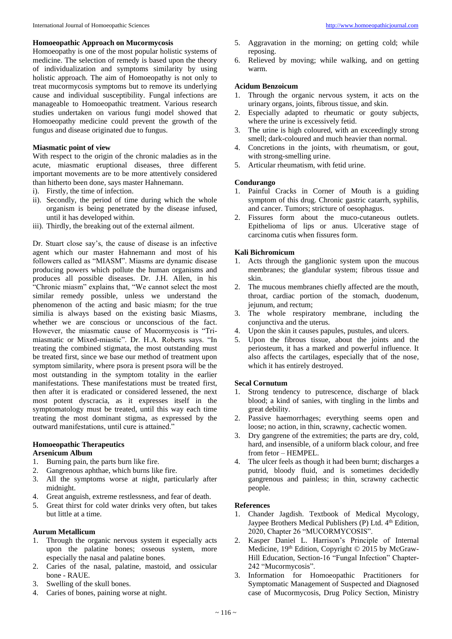#### **Homoeopathic Approach on Mucormycosis**

Homoeopathy is one of the most popular holistic systems of medicine. The selection of remedy is based upon the theory of individualization and symptoms similarity by using holistic approach. The aim of Homoeopathy is not only to treat mucormycosis symptoms but to remove its underlying cause and individual susceptibility. Fungal infections are manageable to Homoeopathic treatment. Various research studies undertaken on various fungi model showed that Homoeopathy medicine could prevent the growth of the fungus and disease originated due to fungus.

### **Miasmatic point of view**

With respect to the origin of the chronic maladies as in the acute, miasmatic eruptional diseases, three different important movements are to be more attentively considered than hitherto been done, says master Hahnemann.

- i). Firstly, the time of infection.
- ii). Secondly, the period of time during which the whole organism is being penetrated by the disease infused, until it has developed within.
- iii). Thirdly, the breaking out of the external ailment.

Dr. Stuart close say's, the cause of disease is an infective agent which our master Hahnemann and most of his followers called as "MIASM". Miasms are dynamic disease producing powers which pollute the human organisms and produces all possible diseases. Dr. J.H. Allen, in his "Chronic miasm" explains that, "We cannot select the most similar remedy possible, unless we understand the phenomenon of the acting and basic miasm; for the true similia is always based on the existing basic Miasms, whether we are conscious or unconscious of the fact. However, the miasmatic cause of Mucormycosis is "Trimiasmatic or Mixed-miastic". Dr. H.A. Roberts says. "In treating the combined stigmata, the most outstanding must be treated first, since we base our method of treatment upon symptom similarity, where psora is present psora will be the most outstanding in the symptom totality in the earlier manifestations. These manifestations must be treated first, then after it is eradicated or considered lessened, the next most potent dyscracia, as it expresses itself in the symptomatology must be treated, until this way each time treating the most dominant stigma, as expressed by the outward manifestations, until cure is attained."

#### **Homoeopathic Therapeutics**

#### **Arsenicum Album**

- 1. Burning pain, the parts burn like fire.
- 2. Gangrenous aphthae, which burns like fire.
- 3. All the symptoms worse at night, particularly after midnight.
- 4. Great anguish, extreme restlessness, and fear of death.
- 5. Great thirst for cold water drinks very often, but takes but little at a time.

#### **Aurum Metallicum**

- 1. Through the organic nervous system it especially acts upon the palatine bones; osseous system, more especially the nasal and palatine bones.
- 2. Caries of the nasal, palatine, mastoid, and ossicular bone - RAUE.
- 3. Swelling of the skull bones.
- 4. Caries of bones, paining worse at night.
- 5. Aggravation in the morning; on getting cold; while reposing.
- 6. Relieved by moving; while walking, and on getting warm.

#### **Acidum Benzoicum**

- 1. Through the organic nervous system, it acts on the urinary organs, joints, fibrous tissue, and skin.
- 2. Especially adapted to rheumatic or gouty subjects, where the urine is excessively fetid.
- 3. The urine is high coloured, with an exceedingly strong smell; dark-coloured and much heavier than normal.
- 4. Concretions in the joints, with rheumatism, or gout, with strong-smelling urine.
- 5. Articular rheumatism, with fetid urine.

#### **Condurango**

- 1. Painful Cracks in Corner of Mouth is a guiding symptom of this drug. Chronic gastric catarrh, syphilis, and cancer. Tumors; stricture of oesophagus.
- 2. Fissures form about the muco-cutaneous outlets. Epithelioma of lips or anus. Ulcerative stage of carcinoma cutis when fissures form.

#### **Kali Bichromicum**

- 1. Acts through the ganglionic system upon the mucous membranes; the glandular system; fibrous tissue and skin.
- 2. The mucous membranes chiefly affected are the mouth, throat, cardiac portion of the stomach, duodenum, jejunum, and rectum;
- 3. The whole respiratory membrane, including the conjunctiva and the uterus.
- 4. Upon the skin it causes papules, pustules, and ulcers.
- 5. Upon the fibrous tissue, about the joints and the periosteum, it has a marked and powerful influence. It also affects the cartilages, especially that of the nose, which it has entirely destroyed.

#### **Secal Cornutum**

- 1. Strong tendency to putrescence, discharge of black blood; a kind of sanies, with tingling in the limbs and great debility.
- 2. Passive haemorrhages; everything seems open and loose; no action, in thin, scrawny, cachectic women.
- 3. Dry gangrene of the extremities; the parts are dry, cold, hard, and insensible, of a uniform black colour, and free from fetor – HEMPEL.
- 4. The ulcer feels as though it had been burnt; discharges a putrid, bloody fluid, and is sometimes decidedly gangrenous and painless; in thin, scrawny cachectic people.

#### **References**

- 1. Chander Jagdish. Textbook of Medical Mycology, Jaypee Brothers Medical Publishers (P) Ltd. 4<sup>th</sup> Edition, 2020, Chapter 26 "MUCORMYCOSIS".
- 2. Kasper Daniel L. Harrison's Principle of Internal Medicine, 19<sup>th</sup> Edition, Copyright © 2015 by McGraw-Hill Education, Section-16 "Fungal Infection" Chapter-242 "Mucormycosis".
- 3. Information for Homoeopathic Practitioners for Symptomatic Management of Suspected and Diagnosed case of Mucormycosis, Drug Policy Section, Ministry